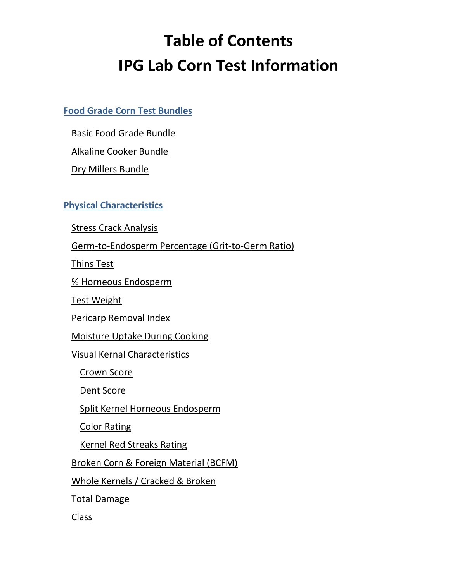# **Table of Contents IPG Lab Corn Test Information**

## <span id="page-0-0"></span>**[Food Grade Corn Test Bundles](#page-0-0)**

[Basic Food Grade Bundle](#page-2-0)

[Alkaline Cooker Bundle](#page-2-1)

[Dry Millers Bundle](#page-2-2)

## **[Physical Characteristics](#page-3-0)**

[Stress Crack Analysis](#page-3-1)

[Germ-to-Endosperm Percentage \(Grit-to-Germ Ratio\)](#page-4-0)

[Thins Test](#page-4-1)

[% Horneous Endosperm](#page-4-2)

[Test Weight](#page-5-0)

[Pericarp Removal Index](#page-5-1)

[Moisture Uptake During Cooking](#page-6-0)

[Visual Kernal Characteristics](#page-6-1)

[Crown Score](#page-6-2)

[Dent Score](#page-7-0)

[Split Kernel Horneous Endosperm](#page-7-1)

[Color Rating](#page-7-2)

[Kernel Red Streaks Rating](#page-7-3)

[Broken Corn & Foreign Material \(BCFM\)](#page-8-0)

[Whole Kernels / Cracked & Broken](#page-8-1)

[Total Damage](#page-8-2)

[Class](#page-8-3)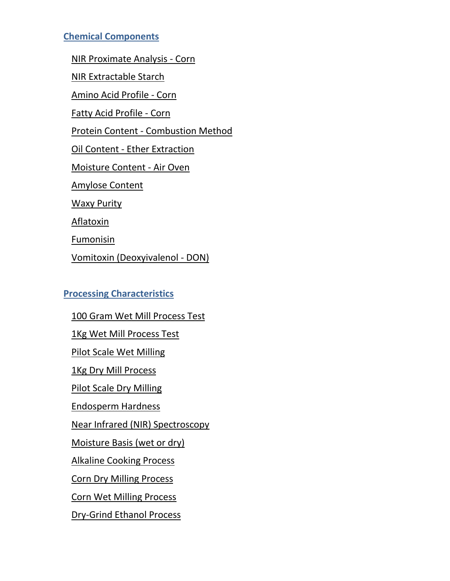## **[Chemical Components](#page-9-0)**

[NIR Proximate Analysis -](#page-9-1) Corn

[NIR Extractable Starch](#page-9-2)

[Amino Acid Profile -](#page-10-0) Corn

[Fatty Acid Profile -](#page-11-0) Corn

Protein Content - [Combustion Method](#page-11-1)

Oil Content - [Ether Extraction](#page-11-2)

[Moisture Content -](#page-12-0) Air Oven

[Amylose Content](#page-12-1)

[Waxy Purity](#page-12-2)

[Aflatoxin](#page-13-0)

[Fumonisin](#page-13-1)

[Vomitoxin \(Deoxyivalenol -](#page-13-2) DON)

## **[Processing Characteristics](#page-14-0)**

[100 Gram Wet Mill Process Test](#page-14-1) [1Kg Wet Mill Process Test](#page-14-2) [Pilot Scale Wet Milling](#page-14-3) [1Kg Dry Mill Process](#page-15-0) [Pilot Scale Dry Milling](#page-15-1) [Endosperm Hardness](#page-15-2) [Near Infrared \(NIR\) Spectroscopy](#page-15-3) [Moisture Basis \(wet or dry\)](#page-16-0) [Alkaline Cooking Process](#page-16-1) [Corn Dry Milling Process](#page-17-0) [Corn Wet Milling Process](#page-17-1) [Dry-Grind Ethanol Process](#page-18-0)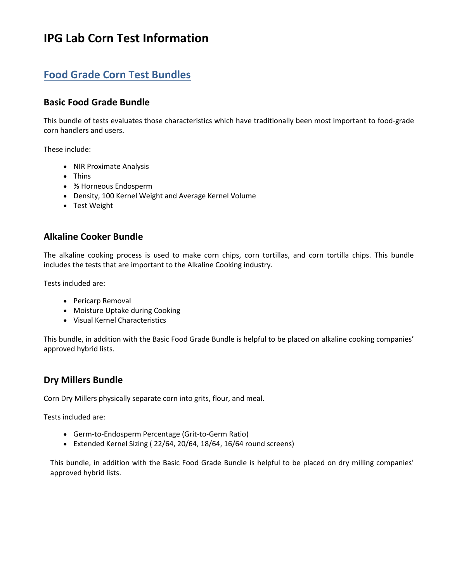# **IPG Lab Corn Test Information**

# **Food Grade Corn Test Bundles**

### <span id="page-2-0"></span>**Basic Food Grade Bundle**

This bundle of tests evaluates those characteristics which have traditionally been most important to food-grade corn handlers and users.

These include:

- NIR Proximate Analysis
- [Thins](#page-4-1)
- [% Horneous Endosperm](#page-4-2)
- [Density, 100 Kernel Weight and Average Kernel Volume](#page-5-2)
- [Test Weight](#page-5-0)

#### <span id="page-2-1"></span>**Alkaline Cooker Bundle**

The alkaline cooking process is used to make corn chips, corn tortillas, and corn tortilla chips. This bundle includes the tests that are important to the Alkaline Cooking industry.

Tests included are:

- [Pericarp Removal](#page-5-1)
- [Moisture Uptake during Cooking](#page-6-0)
- [Visual Kernel Characteristics](#page-6-1)

This bundle, in addition with the Basic Food Grade Bundle is helpful to be placed on alkaline cooking companies' approved hybrid lists.

#### <span id="page-2-2"></span>**Dry Millers Bundle**

Corn Dry Millers physically separate corn into grits, flour, and meal.

Tests included are:

- Germ-to-Endosperm Percentage (Grit-to-Germ Ratio)
- Extended Kernel Sizing ( 22/64, 20/64, 18/64, 16/64 round screens)

This bundle, in addition with the Basic Food Grade Bundle is helpful to be placed on dry milling companies' approved hybrid lists.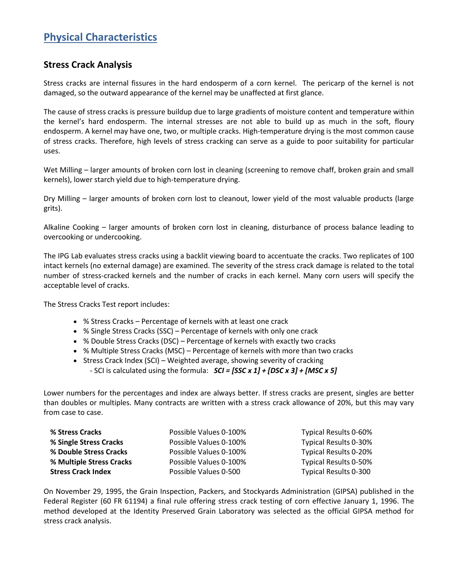# <span id="page-3-0"></span>**Physical Characteristics**

#### <span id="page-3-1"></span>**Stress Crack Analysis**

Stress cracks are internal fissures in the hard endosperm of a corn kernel. The pericarp of the kernel is not damaged, so the outward appearance of the kernel may be unaffected at first glance.

The cause of stress cracks is pressure buildup due to large gradients of moisture content and temperature within the kernel's hard endosperm. The internal stresses are not able to build up as much in the soft, floury endosperm. A kernel may have one, two, or multiple cracks. High-temperature drying is the most common cause of stress cracks. Therefore, high levels of stress cracking can serve as a guide to poor suitability for particular uses.

[Wet Milling](#page-17-1) – larger amounts of broken corn lost in cleaning (screening to remove chaff, broken grain and small kernels), lower starch yield due to high-temperature drying.

[Dry Milling](#page-17-0) – larger amounts of broken corn lost to cleanout, lower yield of the most valuable products (large grits).

[Alkaline Cooking](#page-16-1) – larger amounts of broken corn lost in cleaning, disturbance of process balance leading to overcooking or undercooking.

The IPG Lab evaluates stress cracks using a backlit viewing board to accentuate the cracks. Two replicates of 100 intact kernels (no external damage) are examined. The severity of the stress crack damage is related to the total number of stress-cracked kernels and the number of cracks in each kernel. Many corn users will specify the acceptable level of cracks.

The Stress Cracks Test report includes:

- % Stress Cracks Percentage of kernels with at least one crack
- % Single Stress Cracks (SSC) Percentage of kernels with only one crack
- % Double Stress Cracks (DSC) Percentage of kernels with exactly two cracks
- % Multiple Stress Cracks (MSC) Percentage of kernels with more than two cracks
- Stress Crack Index (SCI) Weighted average, showing severity of cracking
	- SCI is calculated using the formula: *SCI = [SSC x 1] + [DSC x 3] + [MSC x 5]*

Lower numbers for the percentages and index are always better. If stress cracks are present, singles are better than doubles or multiples. Many contracts are written with a stress crack allowance of 20%, but this may vary from case to case.

| % Stress Cracks           | Possible Values 0-100% | Typical Results 0-60% |
|---------------------------|------------------------|-----------------------|
| % Single Stress Cracks    | Possible Values 0-100% | Typical Results 0-30% |
| % Double Stress Cracks    | Possible Values 0-100% | Typical Results 0-20% |
| % Multiple Stress Cracks  | Possible Values 0-100% | Typical Results 0-50% |
| <b>Stress Crack Index</b> | Possible Values 0-500  | Typical Results 0-300 |

On November 29, 1995, the Grain Inspection, Packers, and Stockyards Administration (GIPSA) published in the Federal Register (60 FR 61194) a final rule offering stress crack testing of corn effective January 1, 1996. The method developed at the Identity Preserved Grain Laboratory was selected as the official GIPSA method for stress crack analysis.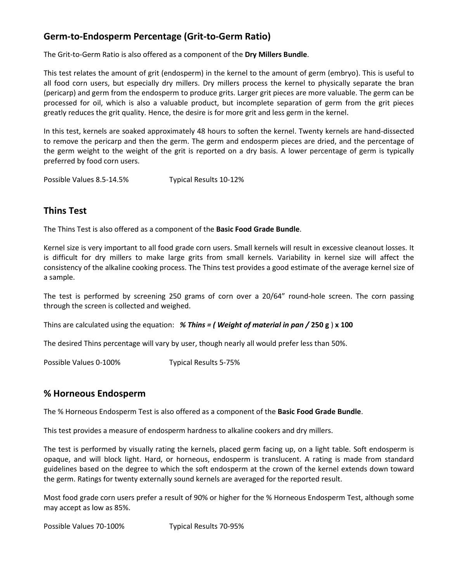## <span id="page-4-0"></span>**Germ-to-Endosperm Percentage (Grit-to-Germ Ratio)**

The Grit-to-Germ Ratio is also offered as a component of the **Dry Millers Bundle**.

This test relates the amount of grit (endosperm) in the kernel to the amount of germ (embryo). This is useful to all food corn users, but especially dry millers. [Dry millers](#page-17-0) process the kernel to physically separate the bran (pericarp) and germ from the endosperm to produce grits. Larger grit pieces are more valuable. The germ can be processed for oil, which is also a valuable product, but incomplete separation of germ from the grit pieces greatly reduces the grit quality. Hence, the desire is for more grit and less germ in the kernel.

In this test, kernels are soaked approximately 48 hours to soften the kernel. Twenty kernels are hand-dissected to remove the pericarp and then the germ. The germ and endosperm pieces are dried, and the percentage of the germ weight to the weight of the grit is reported on a [dry basis.](#page-16-0) A lower percentage of germ is typically preferred by food corn users.

Possible Values 8.5-14.5% Typical Results 10-12%

#### <span id="page-4-1"></span>**Thins Test**

The Thins Test is also offered as a component of the **Basic Food Grade Bundle**.

Kernel size is very important to all food grade corn users. Small kernels will result in excessive cleanout losses. It is difficult for [dry millers](#page-17-0) to make large grits from small kernels. Variability in kernel size will affect the consistency of the [alkaline cooking](#page-16-1) process. The Thins test provides a good estimate of the average kernel size of a sample.

The test is performed by screening 250 grams of corn over a 20/64" round-hole screen. The corn passing through the screen is collected and weighed.

Thins are calculated using the equation: *% Thins = ( Weight of material in pan /* **250 g** ) **x 100**

The desired Thins percentage will vary by user, though nearly all would prefer less than 50%.

Possible Values 0-100% Typical Results 5-75%

#### <span id="page-4-2"></span>**% Horneous Endosperm**

The % Horneous Endosperm Test is also offered as a component of the **Basic Food Grade Bundle**.

This test provides a measure of [endosperm hardness](#page-15-2) t[o alkaline cookers](#page-16-1) and [dry millers.](#page-17-0)

The test is performed by visually rating the kernels, placed germ facing up, on a light table. Soft endosperm is opaque, and will block light. Hard, or horneous, endosperm is translucent. A rating is made from standard guidelines based on the degree to which the soft endosperm at the crown of the kernel extends down toward the germ. Ratings for twenty externally sound kernels are averaged for the reported result.

Most food grade corn users prefer a result of 90% or higher for the % Horneous Endosperm Test, although some may accept as low as 85%.

Possible Values 70-100% Typical Results 70-95%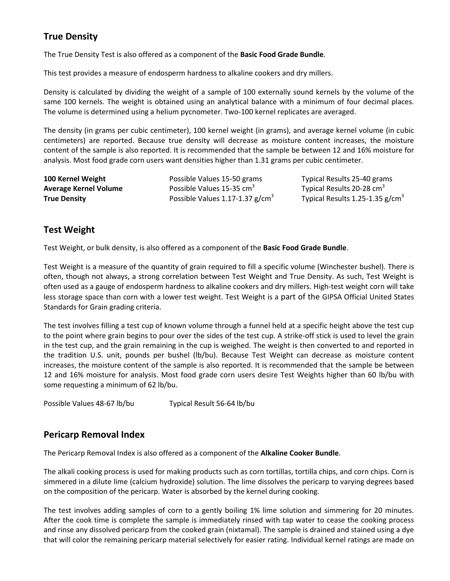## <span id="page-5-2"></span>**True Density**

The True Density Test is also offered as a component of the **Basic Food Grade Bundle**.

This test provides a measure of [endosperm hardness](#page-15-2) t[o alkaline cookers](#page-16-1) and [dry millers.](#page-17-0)

Density is calculated by dividing the weight of a sample of 100 externally sound kernels by the volume of the same 100 kernels. The weight is obtained using an analytical balance with a minimum of four decimal places. The volume is determined using a helium pycnometer. Two-100 kernel replicates are averaged.

The density (in grams per cubic centimeter), 100 kernel weight (in grams), and average kernel volume (in cubic centimeters) are reported. Because true density will decrease as moisture content increases, the moisture content of the sample is also reported. It is recommended that the sample be between 12 and 16% moisture for analysis. Most food grade corn users want densities higher than 1.31 grams per cubic centimeter.

**100 Kernel Weight** Possible Values 15-50 grams Typical Results 25-40 grams **Average Kernel Volume** Possible Values 15-35 cm<sup>3</sup>

**True Density Possible Values 1.17-1.37 g/cm<sup>3</sup>** 

Typical Results 20-28  $\text{cm}^3$ Typical Results 1.25-1.35  $g/cm<sup>3</sup>$ 

## <span id="page-5-0"></span>**Test Weight**

Test Weight, or bulk density, is also offered as a component of the **Basic Food Grade Bundle**.

Test Weight is a measure of the quantity of grain required to fill a specific volume (Winchester bushel). There is often, though not always, a strong correlation between Test Weight and [True Density.](#page-5-2) As such, Test Weight is often used as a gauge of [endosperm hardness](#page-15-2) to [alkaline cookers](#page-16-1) and [dry millers.](#page-17-0) High-test weight corn will take less storage space than corn with a lower test weight. Test Weight is a part of the GIPSA Official United States Standards for Grain grading criteria.

The test involves filling a test cup of known volume through a funnel held at a specific height above the test cup to the point where grain begins to pour over the sides of the test cup. A strike-off stick is used to level the grain in the test cup, and the grain remaining in the cup is weighed. The weight is then converted to and reported in the tradition U.S. unit, pounds per bushel (lb/bu). Because Test Weight can decrease as moisture content increases, the moisture content of the sample is also reported. It is recommended that the sample be between 12 and 16% moisture for analysis. Most food grade corn users desire Test Weights higher than 60 lb/bu with some requesting a minimum of 62 lb/bu.

Possible Values 48-67 lb/bu Typical Result 56-64 lb/bu

#### <span id="page-5-1"></span>**Pericarp Removal Index**

The Pericarp Removal Index is also offered as a component of the **Alkaline Cooker Bundle**.

Th[e alkali cooking process](#page-16-1) is used for making products such as corn tortillas, tortilla chips, and corn chips. Corn is simmered in a dilute lime (calcium hydroxide) solution. The lime dissolves the pericarp to varying degrees based on the composition of the pericarp. Water is absorbed by the kernel during cooking.

The test involves adding samples of corn to a gently boiling 1% lime solution and simmering for 20 minutes. After the cook time is complete the sample is immediately rinsed with tap water to cease the cooking process and rinse any dissolved pericarp from the cooked grain (nixtamal). The sample is drained and stained using a dye that will color the remaining pericarp material selectively for easier rating. Individual kernel ratings are made on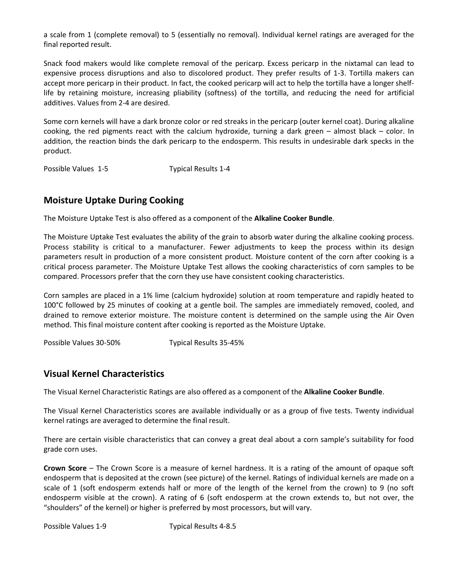a scale from 1 (complete removal) to 5 (essentially no removal). Individual kernel ratings are averaged for the final reported result.

Snack food makers would like complete removal of the pericarp. Excess pericarp in the nixtamal can lead to expensive process disruptions and also to discolored product. They prefer results of 1-3. Tortilla makers can accept more pericarp in their product. In fact, the cooked pericarp will act to help the tortilla have a longer shelflife by retaining moisture, increasing pliability (softness) of the tortilla, and reducing the need for artificial additives. Values from 2-4 are desired.

Some corn kernels will have a dark bronze [color](file:///C:/Documents%20and%20Settings/heatherc/Local%20Settings/Temporary%20Internet%20Files/Content.Outlook/John/IPG%20Lab%20Corn%20Test%20Information.htm%23Color_Rating%23Color_Rating) o[r red streaks](file:///C:/Documents%20and%20Settings/heatherc/Local%20Settings/Temporary%20Internet%20Files/Content.Outlook/John/IPG%20Lab%20Corn%20Test%20Information.htm%23Red_Streaks%23Red_Streaks) in the pericarp (outer kernel coat). During alkaline cooking, the red pigments react with the calcium hydroxide, turning a dark green – almost black – color. In addition, the reaction binds the dark pericarp to the endosperm. This results in undesirable dark specks in the product.

Possible Values 1-5 Typical Results 1-4

#### <span id="page-6-0"></span>**Moisture Uptake During Cooking**

The Moisture Uptake Test is also offered as a component of the **Alkaline Cooker Bundle**.

The Moisture Uptake Test evaluates the ability of the grain to absorb water during the [alkaline cooking process.](#page-16-1) Process stability is critical to a manufacturer. Fewer adjustments to keep the process within its design parameters result in production of a more consistent product. Moisture content of the corn after cooking is a critical process parameter. The Moisture Uptake Test allows the cooking characteristics of corn samples to be compared. Processors prefer that the corn they use have consistent cooking characteristics.

Corn samples are placed in a 1% lime (calcium hydroxide) solution at room temperature and rapidly heated to 100°C followed by 25 minutes of cooking at a gentle boil. The samples are immediately removed, cooled, and drained to remove exterior moisture. The moisture content is determined on the sample using the [Air Oven](#page-12-0) method. This final moisture content after cooking is reported as the Moisture Uptake.

Possible Values 30-50% Typical Results 35-45%

#### <span id="page-6-1"></span>**Visual Kernel Characteristics**

The Visual Kernel Characteristic Ratings are also offered as a component of the **Alkaline Cooker Bundle**.

The Visual Kernel Characteristics scores are available individually or as a group of five tests. Twenty individual kernel ratings are averaged to determine the final result.

There are certain visible characteristics that can convey a great deal about a corn sample's suitability for food grade corn uses.

<span id="page-6-2"></span>**Crown Score** – The Crown Score is a measure of kernel hardness. It is a rating of the amount of opaque soft endosperm that is deposited at the crown (see picture) of the kernel. Ratings of individual kernels are made on a scale of 1 (soft endosperm extends half or more of the length of the kernel from the crown) to 9 (no soft endosperm visible at the crown). A rating of 6 (soft endosperm at the crown extends to, but not over, the "shoulders" of the kernel) or higher is preferred by most processors, but will vary.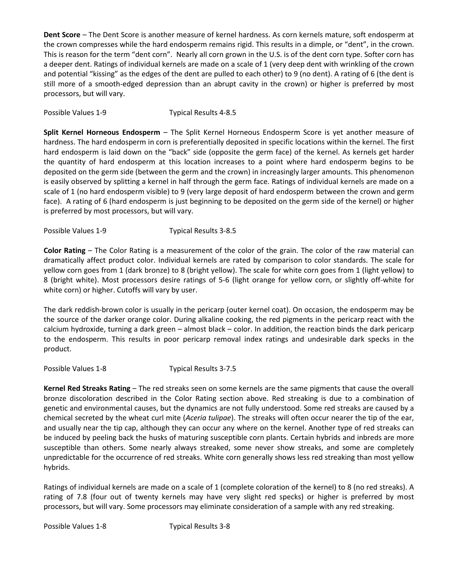<span id="page-7-0"></span>**Dent Score** – The Dent Score is another measure of kernel hardness. As corn kernels mature, soft endosperm at the crown compresses while the hard endosperm remains rigid. This results in a dimple, or "dent", in the crown. This is reason for the term "dent corn". Nearly all corn grown in the U.S. is of the dent corn type. Softer corn has a deeper dent. Ratings of individual kernels are made on a scale of 1 (very deep dent with wrinkling of the crown and potential "kissing" as the edges of the dent are pulled to each other) to 9 (no dent). A rating of 6 (the dent is still more of a smooth-edged depression than an abrupt cavity in the crown) or higher is preferred by most processors, but will vary.

Possible Values 1-9 Typical Results 4-8.5

<span id="page-7-1"></span>**Split Kernel Horneous Endosperm** – The Split Kernel Horneous Endosperm Score is yet another measure of hardness. The hard endosperm in corn is preferentially deposited in specific locations within the kernel. The first hard endosperm is laid down on the "back" side (opposite the germ face) of the kernel. As kernels get harder the quantity of hard endosperm at this location increases to a point where hard endosperm begins to be deposited on the germ side (between the germ and the crown) in increasingly larger amounts. This phenomenon is easily observed by splitting a kernel in half through the germ face. Ratings of individual kernels are made on a scale of 1 (no hard endosperm visible) to 9 (very large deposit of hard endosperm between the crown and germ face). A rating of 6 (hard endosperm is just beginning to be deposited on the germ side of the kernel) or higher is preferred by most processors, but will vary.

Possible Values 1-9 Typical Results 3-8.5

<span id="page-7-2"></span>**Color Rating** – The Color Rating is a measurement of the color of the grain. The color of the raw material can dramatically affect product color. Individual kernels are rated by comparison to color standards. The scale for yellow corn goes from 1 (dark bronze) to 8 (bright yellow). The scale for white corn goes from 1 (light yellow) to 8 (bright white). Most processors desire ratings of 5-6 (light orange for yellow corn, or slightly off-white for white corn) or higher. Cutoffs will vary by user.

The dark reddish-brown color is usually in the pericarp (outer kernel coat). On occasion, the endosperm may be the source of the darker orange color. During [alkaline cooking,](file:///C:/Documents%20and%20Settings/heatherc/Local%20Settings/Temporary%20Internet%20Files/Content.Outlook/John/IPG%20Lab%20Corn%20Test%20Information.htm%23Alkaline_Cooking_Process%23Alkaline_Cooking_Process) the red pigments in the pericarp react with the calcium hydroxide, turning a dark green – almost black – color. In addition, the reaction binds the dark pericarp to the endosperm. This results in poor [pericarp removal index](file:///C:/Documents%20and%20Settings/heatherc/Local%20Settings/Temporary%20Internet%20Files/Content.Outlook/John/IPG%20Lab%20Corn%20Test%20Information.htm%23Pericarp_Removal_Index%23Pericarp_Removal_Index) ratings and undesirable dark specks in the product.

Possible Values 1-8 Typical Results 3-7.5

<span id="page-7-3"></span>**Kernel Red Streaks Rating** – The red streaks seen on some kernels are the same pigments that cause the overall bronze discoloration described in the [Color Rating](file:///C:/Documents%20and%20Settings/heatherc/Local%20Settings/Temporary%20Internet%20Files/Content.Outlook/John/IPG%20Lab%20Corn%20Test%20Information.htm%23Color_Rating%23Color_Rating) section above. Red streaking is due to a combination of genetic and environmental causes, but the dynamics are not fully understood. Some red streaks are caused by a chemical secreted by the wheat curl mite (*Aceria tulipae*). The streaks will often occur nearer the tip of the ear, and usually near the tip cap, although they can occur any where on the kernel. Another type of red streaks can be induced by peeling back the husks of maturing susceptible corn plants. Certain hybrids and inbreds are more susceptible than others. Some nearly always streaked, some never show streaks, and some are completely unpredictable for the occurrence of red streaks. White corn generally shows less red streaking than most yellow hybrids.

Ratings of individual kernels are made on a scale of 1 (complete coloration of the kernel) to 8 (no red streaks). A rating of 7.8 (four out of twenty kernels may have very slight red specks) or higher is preferred by most processors, but will vary. Some processors may eliminate consideration of a sample with any red streaking.

Possible Values 1-8 Typical Results 3-8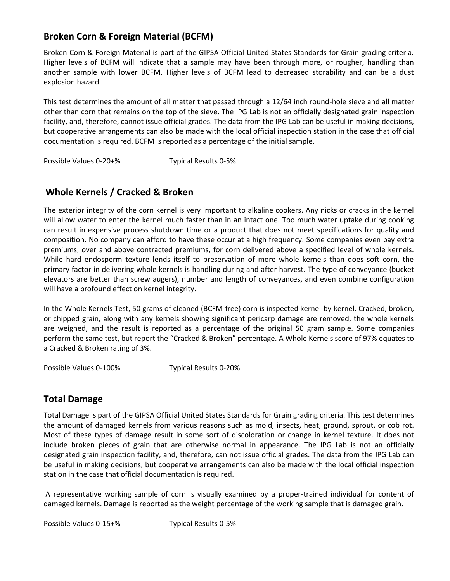## **Broken Corn & Foreign Material (BCFM)**

Broken Corn & Foreign Material is part of the GIPSA Official United States Standards for Grain grading criteria. Higher levels of BCFM will indicate that a sample may have been through more, or rougher, handling than another sample with lower BCFM. Higher levels of BCFM lead to decreased storability and can be a dust explosion hazard.

This test determines the amount of all matter that passed through a 12/64 inch round-hole sieve and all matter other than corn that remains on the top of the sieve. The IPG Lab is not an officially designated grain inspection facility, and, therefore, cannot issue official grades. The data from the IPG Lab can be useful in making decisions, but cooperative arrangements can also be made with the local official inspection station in the case that official documentation is required. BCFM is reported as a percentage of the initial sample.

Possible Values 0-20+% Typical Results 0-5%

## <span id="page-8-1"></span>**Whole Kernels / Cracked & Broken**

The exterior integrity of the corn kernel is very important to alkaline cookers. Any nicks or cracks in the kernel will allow water to enter the kernel much faster than in an intact one. Too much water uptake during cooking can result in expensive process shutdown time or a product that does not meet specifications for quality and composition. No company can afford to have these occur at a high frequency. Some companies even pay extra premiums, over and above contracted premiums, for corn delivered above a specified level of whole kernels. While hard endosperm texture lends itself to preservation of more whole kernels than does soft corn, the primary factor in delivering whole kernels is handling during and after harvest. The type of conveyance (bucket elevators are better than screw augers), number and length of conveyances, and even combine configuration will have a profound effect on kernel integrity.

In the Whole Kernels Test, 50 grams of cleaned (BCFM-free) corn is inspected kernel-by-kernel. Cracked, broken, or chipped grain, along with any kernels showing significant pericarp damage are removed, the whole kernels are weighed, and the result is reported as a percentage of the original 50 gram sample. Some companies perform the same test, but report the "Cracked & Broken" percentage. A Whole Kernels score of 97% equates to a Cracked & Broken rating of 3%.

Possible Values 0-100% Typical Results 0-20%

## <span id="page-8-2"></span><span id="page-8-0"></span>**Total Damage**

Total Damage is part of the GIPSA Official United States Standards for Grain grading criteria. This test determines the amount of damaged kernels from various reasons such as mold, insects, heat, ground, sprout, or cob rot. Most of these types of damage result in some sort of discoloration or change in kernel texture. It does not include broken pieces of grain that are otherwise normal in appearance. The IPG Lab is not an officially designated grain inspection facility, and, therefore, can not issue official grades. The data from the IPG Lab can be useful in making decisions, but cooperative arrangements can also be made with the local official inspection station in the case that official documentation is required.

A representative working sample of corn is visually examined by a proper-trained individual for content of damaged kernels. Damage is reported as the weight percentage of the working sample that is damaged grain.

<span id="page-8-3"></span>Possible Values 0-15+% Typical Results 0-5%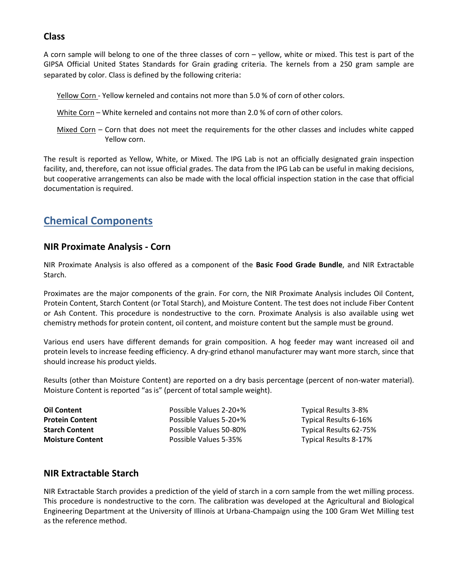#### **Class**

A corn sample will belong to one of the three classes of corn – yellow, white or mixed. This test is part of the GIPSA Official United States Standards for Grain grading criteria. The kernels from a 250 gram sample are separated by color. Class is defined by the following criteria:

- Yellow Corn Yellow kerneled and contains not more than 5.0 % of corn of other colors.
- White Corn White kerneled and contains not more than 2.0 % of corn of other colors.
- Mixed Corn Corn that does not meet the requirements for the other classes and includes white capped Yellow corn.

The result is reported as Yellow, White, or Mixed. The IPG Lab is not an officially designated grain inspection facility, and, therefore, can not issue official grades. The data from the IPG Lab can be useful in making decisions, but cooperative arrangements can also be made with the local official inspection station in the case that official documentation is required.

# <span id="page-9-0"></span>**Chemical Components**

#### <span id="page-9-1"></span>**NIR Proximate Analysis - Corn**

[NIR](#page-15-3) Proximate Analysis is also offered as a component of the **Basic Food Grade Bundle**, and [NIR Extractable](#page-9-2)  [Starch.](#page-9-2)

Proximates are the major components of the grain. For corn, the NIR Proximate Analysis includes Oil Content, Protein Content, Starch Content (or Total Starch), and Moisture Content. The test does not include Fiber Content or Ash Content. This procedure is nondestructive to the corn. Proximate Analysis is also available using wet chemistry methods fo[r protein content,](#page-11-1) [oil content,](#page-11-2) an[d moisture content](#page-12-0) but the sample must be ground.

Various end users have different demands for grain composition. A hog feeder may want increased oil and protein levels to increase feeding efficiency. A dry-grind ethanol manufacturer may want more starch, since that should increase his product yields.

Results (other than Moisture Content) are reported on a [dry basis](#page-16-0) percentage (percent of non-water material). Moisture Content is reported "as is" (percent of total sample weight).

**Oil Content Content Possible Values 2-20+%** Typical Results 3-8% **Protein Content Possible Values 5-20+%** Typical Results 6-16% **Starch Content** Possible Values 50-80% Typical Results 62-75% **Moisture Content Possible Values 5-35%** Typical Results 8-17%

#### <span id="page-9-2"></span>**NIR Extractable Starch**

[NIR](#page-15-3) Extractable Starch provides a prediction of the yield of starch in a corn sample from the [wet milling process.](#page-17-1) This procedure is nondestructive to the corn. The calibration was developed at the Agricultural and Biological Engineering Department at the University of Illinois at Urbana-Champaign using the [100 Gram Wet Milling](#page-14-1) test as the reference method.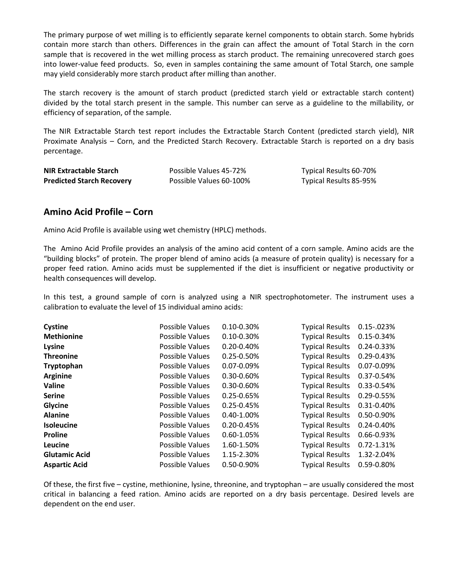The primary purpose of wet milling is to efficiently separate kernel components to obtain starch. Some hybrids contain more starch than others. Differences in the grain can affect the amount of Total Starch in the corn sample that is recovered in the wet milling process as starch product. The remaining unrecovered starch goes into lower-value feed products. So, even in samples containing the same amount of Total Starch, one sample may yield considerably more starch product after milling than another.

The starch recovery is the amount of starch product (predicted starch yield or extractable starch content) divided by the total starch present in the sample. This number can serve as a guideline to the millability, or efficiency of separation, of the sample.

The NIR Extractable Starch test report includes the Extractable Starch Content (predicted starch yield), [NIR](#page-9-1)  [Proximate Analysis](#page-9-1) – Corn, and the Predicted Starch Recovery. Extractable Starch is reported on a [dry basis](#page-16-0) percentage.

| <b>NIR Extractable Starch</b>    | Possible Values 45-72%  | Typical Results 60-70% |
|----------------------------------|-------------------------|------------------------|
| <b>Predicted Starch Recovery</b> | Possible Values 60-100% | Typical Results 85-95% |

#### <span id="page-10-0"></span>**Amino Acid Profile – Corn**

Amino Acid Profile is available using wet chemistry (HPLC) methods.

The Amino Acid Profile provides an analysis of the amino acid content of a corn sample. Amino acids are the "building blocks" of protein. The proper blend of amino acids (a measure of protein quality) is necessary for a proper feed ration. Amino acids must be supplemented if the diet is insufficient or negative productivity or health consequences will develop.

In this test, a ground sample of corn is analyzed using a NIR spectrophotometer. The instrument uses a calibration to evaluate the level of 15 individual amino acids:

| Cystine              | Possible Values | $0.10 - 0.30%$  | <b>Typical Results</b> | $0.15 - 023%$   |
|----------------------|-----------------|-----------------|------------------------|-----------------|
| <b>Methionine</b>    | Possible Values | $0.10 - 0.30%$  | <b>Typical Results</b> | 0.15-0.34%      |
| Lysine               | Possible Values | $0.20 - 0.40%$  | <b>Typical Results</b> | $0.24 - 0.33%$  |
| <b>Threonine</b>     | Possible Values | $0.25 - 0.50%$  | <b>Typical Results</b> | $0.29 - 0.43%$  |
| Tryptophan           | Possible Values | $0.07 - 0.09\%$ | <b>Typical Results</b> | $0.07 - 0.09\%$ |
| <b>Arginine</b>      | Possible Values | $0.30 - 0.60\%$ | <b>Typical Results</b> | 0.37-0.54%      |
| Valine               | Possible Values | 0.30-0.60%      | <b>Typical Results</b> | 0.33-0.54%      |
| <b>Serine</b>        | Possible Values | $0.25 - 0.65%$  | <b>Typical Results</b> | 0.29-0.55%      |
| Glycine              | Possible Values | $0.25 - 0.45%$  | <b>Typical Results</b> | $0.31 - 0.40%$  |
| <b>Alanine</b>       | Possible Values | 0.40-1.00%      | <b>Typical Results</b> | 0.50-0.90%      |
| <b>Isoleucine</b>    | Possible Values | $0.20 - 0.45%$  | <b>Typical Results</b> | $0.24 - 0.40%$  |
| <b>Proline</b>       | Possible Values | 0.60-1.05%      | <b>Typical Results</b> | $0.66 - 0.93%$  |
| Leucine              | Possible Values | 1.60-1.50%      | <b>Typical Results</b> | $0.72 - 1.31%$  |
| <b>Glutamic Acid</b> | Possible Values | 1.15-2.30%      | <b>Typical Results</b> | 1.32-2.04%      |
| <b>Aspartic Acid</b> | Possible Values | 0.50-0.90%      | <b>Typical Results</b> | 0.59-0.80%      |

Of these, the first five – cystine, methionine, lysine, threonine, and tryptophan – are usually considered the most critical in balancing a feed ration. Amino acids are reported on a dry basis percentage. Desired levels are dependent on the end user.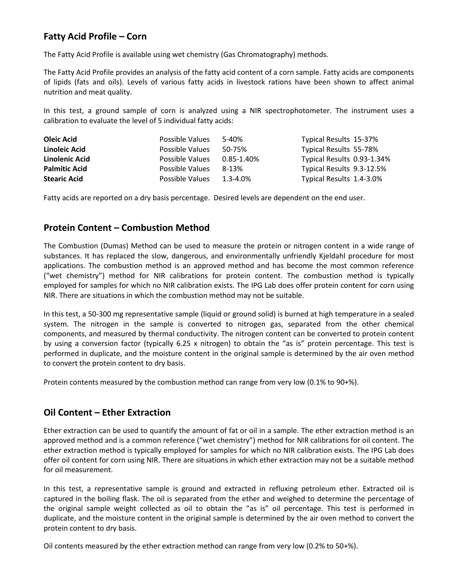## <span id="page-11-0"></span>**Fatty Acid Profile – Corn**

The Fatty Acid Profile is available using wet chemistry (Gas Chromatography) methods.

The Fatty Acid Profile provides an analysis of the fatty acid content of a corn sample. Fatty acids are components of lipids (fats and oils). Levels of various fatty acids in livestock rations have been shown to affect animal nutrition and meat quality.

In this test, a ground sample of corn is analyzed using a NIR spectrophotometer. The instrument uses a calibration to evaluate the level of 5 individual fatty acids:

| Oleic Acid           | Possible Values | $5 - 40%$     | Typical Results 15-37%     |
|----------------------|-----------------|---------------|----------------------------|
| Linoleic Acid        | Possible Values | 50-75%        | Typical Results 55-78%     |
| Linolenic Acid       | Possible Values | 0.85-1.40%    | Typical Results 0.93-1.34% |
| <b>Palmitic Acid</b> | Possible Values | 8-13%         | Typical Results 9.3-12.5%  |
| <b>Stearic Acid</b>  | Possible Values | $1.3 - 4.0\%$ | Typical Results 1.4-3.0%   |

Fatty acids are reported on [a dry basis](#page-16-0) percentage. Desired levels are dependent on the end user.

#### <span id="page-11-1"></span>**Protein Content – Combustion Method**

The Combustion (Dumas) Method can be used to measure the protein or nitrogen content in a wide range of substances. It has replaced the slow, dangerous, and environmentally unfriendly Kjeldahl procedure for most applications. The combustion method is an approved method and has become the most common reference ("wet chemistry") method for [NIR](#page-15-3) calibrations for protein content. The combustion method is typically employed for samples for which no NIR calibration exists. The IPG Lab does offer [protein content for corn using](#page-9-1)  [NIR.](#page-9-1) There are situations in which the combustion method may not be suitable.

In this test, a 50-300 mg representative sample (liquid or ground solid) is burned at high temperature in a sealed system. The nitrogen in the sample is converted to nitrogen gas, separated from the other chemical components, and measured by thermal conductivity. The nitrogen content can be converted to protein content by using a conversion factor (typically 6.25 x nitrogen) to obtain the "as is" protein percentage. This test is performed in duplicate, and the moisture content in the original sample is determined by the [air oven method](#page-12-0) to convert the protein content to [dry basis.](#page-16-0)

Protein contents measured by the combustion method can range from very low (0.1% to 90+%).

#### <span id="page-11-2"></span>**Oil Content – Ether Extraction**

Ether extraction can be used to quantify the amount of fat or oil in a sample. The ether extraction method is an approved method and is a common reference ("wet chemistry") method for [NIR](#page-15-3) calibrations for oil content. The ether extraction method is typically employed for samples for which no NIR calibration exists. The IPG Lab does offer [oil content for corn using NIR.](#page-11-2) There are situations in which ether extraction may not be a suitable method for oil measurement.

In this test, a representative sample is ground and extracted in refluxing petroleum ether. Extracted oil is captured in the boiling flask. The oil is separated from the ether and weighed to determine the percentage of the original sample weight collected as oil to obtain the "[as is](#page-16-0)" oil percentage. This test is performed in duplicate, and the moisture content in the original sample is determined by the [air oven method](#page-12-0) to convert the protein content to [dry basis.](#page-16-0)

Oil contents measured by the ether extraction method can range from very low (0.2% to 50+%).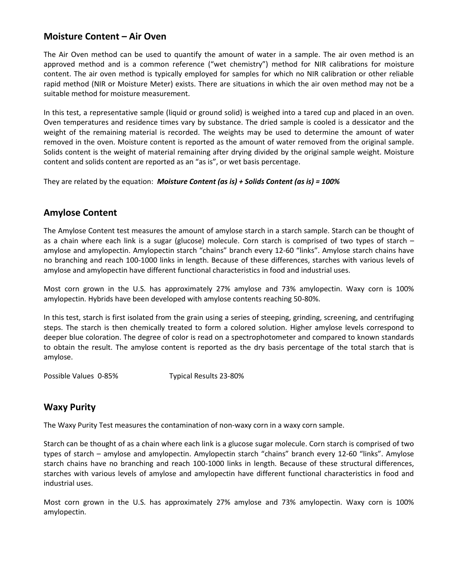### <span id="page-12-0"></span>**Moisture Content – Air Oven**

The Air Oven method can be used to quantify the amount of water in a sample. The air oven method is an approved method and is a common reference ("wet chemistry") method for [NIR](#page-15-3) calibrations for moisture content. The air oven method is typically employed for samples for which no NIR calibration or other reliable rapid method [\(NIR](#page-9-1) or Moisture Meter) exists. There are situations in which the air oven method may not be a suitable method for moisture measurement.

In this test, a representative sample (liquid or ground solid) is weighed into a tared cup and placed in an oven. Oven temperatures and residence times vary by substance. The dried sample is cooled is a dessicator and the weight of the remaining material is recorded. The weights may be used to determine the amount of water removed in the oven. Moisture content is reported as the amount of water removed from the original sample. Solids content is the weight of material remaining after drying divided by the original sample weight. Moisture content and solids content are reported as an "[as is](#page-16-0)", or [wet basis](#page-16-0) percentage.

They are related by the equation: *Moisture Content (as is) + Solids Content (as is) = 100%*

#### <span id="page-12-1"></span>**Amylose Content**

The Amylose Content test measures the amount of amylose starch in a starch sample. Starch can be thought of as a chain where each link is a sugar (glucose) molecule. Corn starch is comprised of two types of starch – amylose and amylopectin. Amylopectin starch "chains" branch every 12-60 "links". Amylose starch chains have no branching and reach 100-1000 links in length. Because of these differences, starches with various levels of amylose and amylopectin have different functional characteristics in food and industrial uses.

Most corn grown in the U.S. has approximately 27% amylose and 73% amylopectin. [Waxy](#page-12-2) corn is 100% amylopectin. Hybrids have been developed with amylose contents reaching 50-80%.

In this test, starch is first isolated from the grain using a series of steeping, grinding, screening, and centrifuging steps. The starch is then chemically treated to form a colored solution. Higher amylose levels correspond to deeper blue coloration. The degree of color is read on a spectrophotometer and compared to known standards to obtain the result. The amylose content is reported as the [dry basis](#page-16-0) percentage of the total starch that is amylose.

Possible Values 0-85% Typical Results 23-80%

#### <span id="page-12-2"></span>**Waxy Purity**

The Waxy Purity Test measures the contamination of non-waxy corn in a waxy corn sample.

Starch can be thought of as a chain where each link is a glucose sugar molecule. Corn starch is comprised of two types of starch – amylose and amylopectin. Amylopectin starch "chains" branch every 12-60 "links". Amylose starch chains have no branching and reach 100-1000 links in length. Because of these structural differences, starches with various levels of amylose and amylopectin have different functional characteristics in food and industrial uses.

Most corn grown in the U.S. has approximately 27% amylose and 73% amylopectin. Waxy corn is 100% amylopectin.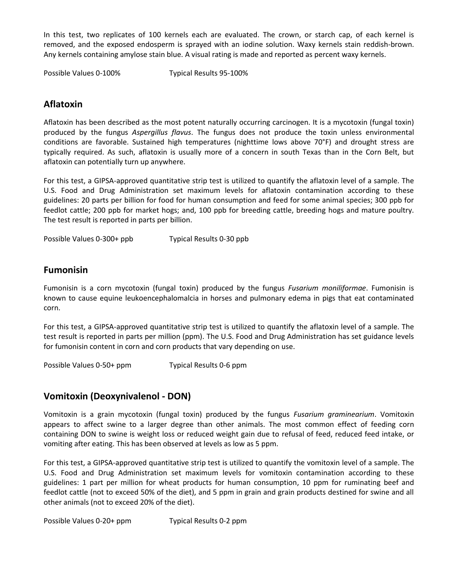In this test, two replicates of 100 kernels each are evaluated. The crown, or starch cap, of each kernel is removed, and the exposed endosperm is sprayed with an iodine solution. Waxy kernels stain reddish-brown. Any kernels containing amylose stain blue. A visual rating is made and reported as percent waxy kernels.

Possible Values 0-100% Typical Results 95-100%

#### <span id="page-13-0"></span>**Aflatoxin**

Aflatoxin has been described as the most potent naturally occurring carcinogen. It is a mycotoxin (fungal toxin) produced by the fungus *Aspergillus flavus*. The fungus does not produce the toxin unless environmental conditions are favorable. Sustained high temperatures (nighttime lows above 70°F) and drought stress are typically required. As such, aflatoxin is usually more of a concern in south Texas than in the Corn Belt, but aflatoxin can potentially turn up anywhere.

For this test, a GIPSA-approved quantitative strip test is utilized to quantify the aflatoxin level of a sample. The U.S. Food and Drug Administration set maximum levels for aflatoxin contamination according to these guidelines: 20 parts per billion for food for human consumption and feed for some animal species; 300 ppb for feedlot cattle; 200 ppb for market hogs; and, 100 ppb for breeding cattle, breeding hogs and mature poultry. The test result is reported in parts per billion.

Possible Values 0-300+ ppb Typical Results 0-30 ppb

#### <span id="page-13-1"></span>**Fumonisin**

Fumonisin is a corn mycotoxin (fungal toxin) produced by the fungus *Fusarium moniliformae*. Fumonisin is known to cause equine leukoencephalomalcia in horses and pulmonary edema in pigs that eat contaminated corn.

For this test, a GIPSA-approved quantitative strip test is utilized to quantify the aflatoxin level of a sample. The test result is reported in parts per million (ppm). The U.S. Food and Drug Administration has set guidance levels for fumonisin content in corn and corn products that vary depending on use.

Possible Values 0-50+ ppm Typical Results 0-6 ppm

#### <span id="page-13-2"></span>**Vomitoxin (Deoxynivalenol - DON)**

Vomitoxin is a grain mycotoxin (fungal toxin) produced by the fungus *Fusarium graminearium*. Vomitoxin appears to affect swine to a larger degree than other animals. The most common effect of feeding corn containing DON to swine is weight loss or reduced weight gain due to refusal of feed, reduced feed intake, or vomiting after eating. This has been observed at levels as low as 5 ppm.

For this test, a GIPSA-approved quantitative strip test is utilized to quantify the vomitoxin level of a sample. The U.S. Food and Drug Administration set maximum levels for vomitoxin contamination according to these guidelines: 1 part per million for wheat products for human consumption, 10 ppm for ruminating beef and feedlot cattle (not to exceed 50% of the diet), and 5 ppm in grain and grain products destined for swine and all other animals (not to exceed 20% of the diet).

Possible Values 0-20+ ppm Typical Results 0-2 ppm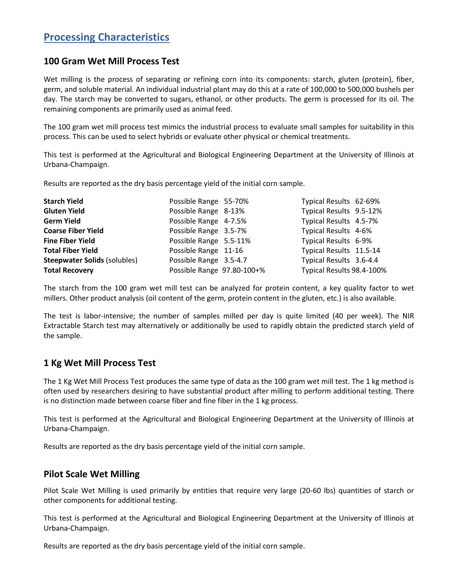# <span id="page-14-0"></span>**Processing Characteristics**

#### <span id="page-14-1"></span>**100 Gram Wet Mill Process Test**

[Wet milling](#page-17-1) is the process of separating or refining corn into its components: starch, gluten (protein), fiber, germ, and soluble material. An individual industrial plant may do this at a rate of 100,000 to 500,000 bushels per day. The starch may be converted to sugars, ethanol, or other products. The germ is processed for its oil. The remaining components are primarily used as animal feed.

The 100 gram wet mill process test mimics the industrial process to evaluate small samples for suitability in this process. This can be used to select hybrids or evaluate other physical or chemical treatments.

This test is performed at the Agricultural and Biological Engineering Department at the University of Illinois at Urbana-Champaign.

Results are reported as th[e dry basis](#page-16-0) percentage yield of the initial corn sample.

| <b>Starch Yield</b>                 | Possible Range 55-70%      | Typical Results 62-69%    |  |
|-------------------------------------|----------------------------|---------------------------|--|
| <b>Gluten Yield</b>                 | Possible Range 8-13%       | Typical Results 9.5-12%   |  |
| <b>Germ Yield</b>                   | Possible Range 4-7.5%      | Typical Results 4.5-7%    |  |
| <b>Coarse Fiber Yield</b>           | Possible Range 3.5-7%      | Typical Results 4-6%      |  |
| <b>Fine Fiber Yield</b>             | Possible Range 5.5-11%     | Typical Results 6-9%      |  |
| <b>Total Fiber Yield</b>            | Possible Range 11-16       | Typical Results 11.5-14   |  |
| <b>Steepwater Solids (solubles)</b> | Possible Range 3.5-4.7     | Typical Results 3.6-4.4   |  |
| <b>Total Recovery</b>               | Possible Range 97.80-100+% | Typical Results 98.4-100% |  |

The starch from the 100 gram wet mill test can be analyzed for [protein content,](#page-11-1) a key quality factor to wet millers. Other product analysis [\(oil content](#page-11-2) of the germ, [protein content](#page-11-1) in the gluten, etc.) is also available.

<span id="page-14-2"></span>The test is labor-intensive; the number of samples milled per day is quite limited (40 per week). The [NIR](#page-9-2)  [Extractable Starch](#page-9-2) test may alternatively or additionally be used to rapidly obtain the predicted starch yield of the sample.

## **1 Kg Wet Mill Process Test**

The 1 Kg [Wet Mill Process](#page-17-1) Test produces the same type of data as the [100 gram wet mill test.](#page-14-1) The 1 kg method is often used by researchers desiring to have substantial product after milling to perform additional testing. There is no distinction made between coarse fiber and fine fiber in the 1 kg process.

This test is performed at the Agricultural and Biological Engineering Department at the University of Illinois at Urbana-Champaign.

Results are reported as th[e dry basis](#page-16-0) percentage yield of the initial corn sample.

#### <span id="page-14-3"></span>**Pilot Scale Wet Milling**

Pilot Scale [Wet Milling](#page-17-1) is used primarily by entities that require very large (20-60 lbs) quantities of starch or other components for additional testing.

This test is performed at the Agricultural and Biological Engineering Department at the University of Illinois at Urbana-Champaign.

Results are reported as th[e dry basis](#page-16-0) percentage yield of the initial corn sample.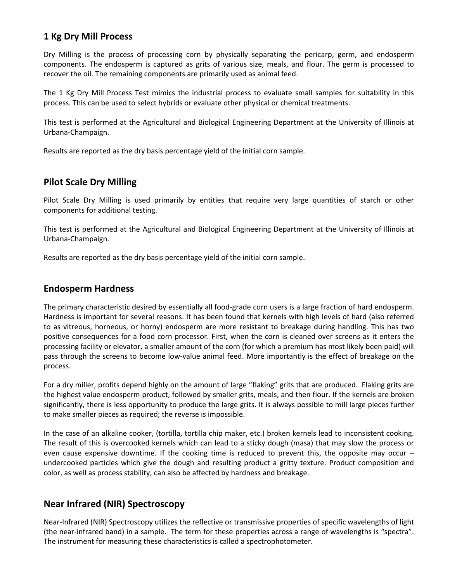## <span id="page-15-0"></span>**1 Kg Dry Mill Process**

[Dry Milling](#page-17-0) is the process of processing corn by physically separating the pericarp, germ, and endosperm components. The endosperm is captured as grits of various size, meals, and flour. The germ is processed to recover the oil. The remaining components are primarily used as animal feed.

The 1 Kg Dry Mill Process Test mimics the industrial process to evaluate small samples for suitability in this process. This can be used to select hybrids or evaluate other physical or chemical treatments.

This test is performed at the Agricultural and Biological Engineering Department at the University of Illinois at Urbana-Champaign.

Results are reported as th[e dry basis](#page-16-0) percentage yield of the initial corn sample.

#### <span id="page-15-1"></span>**Pilot Scale Dry Milling**

Pilot Scale [Dry Milling](#page-17-0) is used primarily by entities that require very large quantities of starch or other components for additional testing.

This test is performed at the Agricultural and Biological Engineering Department at the University of Illinois at Urbana-Champaign.

Results are reported as th[e dry basis](#page-16-0) percentage yield of the initial corn sample.

#### <span id="page-15-2"></span>**Endosperm Hardness**

The primary characteristic desired by essentially all food-grade corn users is a large fraction of hard endosperm. Hardness is important for several reasons. It has been found that kernels with high levels of hard (also referred to as vitreous, horneous, or horny) endosperm are more resistant to breakage during handling. This has two positive consequences for a food corn processor. First, when the corn is cleaned over screens as it enters the processing facility or elevator, a smaller amount of the corn (for which a premium has most likely been paid) will pass through the screens to become low-value animal feed. More importantly is the effect of breakage on the process.

For a dry miller, profits depend highly on the amount of large "flaking" grits that are produced. Flaking grits are the highest value endosperm product, followed by smaller grits, meals, and then flour. If the kernels are broken significantly, there is less opportunity to produce the large grits. It is always possible to mill large pieces further to make smaller pieces as required; the reverse is impossible.

In the case of an alkaline cooker, (tortilla, tortilla chip maker, etc.) broken kernels lead to inconsistent cooking. The result of this is overcooked kernels which can lead to a sticky dough (masa) that may slow the process or even cause expensive downtime. If the cooking time is reduced to prevent this, the opposite may occur – undercooked particles which give the dough and resulting product a gritty texture. Product composition and color, as well as process stability, can also be affected by hardness and breakage.

## <span id="page-15-3"></span>**Near Infrared (NIR) Spectroscopy**

Near-Infrared (NIR) Spectroscopy utilizes the reflective or transmissive properties of specific wavelengths of light (the near-infrared band) in a sample. The term for these properties across a range of wavelengths is "spectra". The instrument for measuring these characteristics is called a spectrophotometer.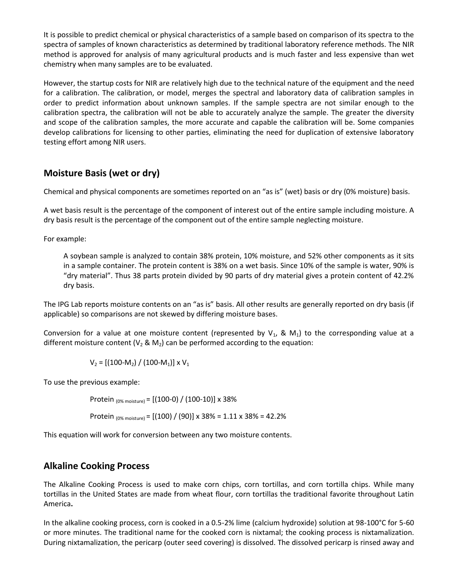It is possible to predict chemical or physical characteristics of a sample based on comparison of its spectra to the spectra of samples of known characteristics as determined by traditional laboratory reference methods. The NIR method is approved for analysis of many agricultural products and is much faster and less expensive than wet chemistry when many samples are to be evaluated.

However, the startup costs for NIR are relatively high due to the technical nature of the equipment and the need for a calibration. The calibration, or model, merges the spectral and laboratory data of calibration samples in order to predict information about unknown samples. If the sample spectra are not similar enough to the calibration spectra, the calibration will not be able to accurately analyze the sample. The greater the diversity and scope of the calibration samples, the more accurate and capable the calibration will be. Some companies develop calibrations for licensing to other parties, eliminating the need for duplication of extensive laboratory testing effort among NIR users.

#### <span id="page-16-0"></span>**Moisture Basis (wet or dry)**

Chemical and physical components are sometimes reported on an "as is" (wet) basis or dry (0% moisture) basis.

A wet basis result is the percentage of the component of interest out of the entire sample including moisture. A dry basis result is the percentage of the component out of the entire sample neglecting moisture.

For example:

A soybean sample is analyzed to contain 38% protein, 10% moisture, and 52% other components as it sits in a sample container. The protein content is 38% on a wet basis. Since 10% of the sample is water, 90% is "dry material". Thus 38 parts protein divided by 90 parts of dry material gives a protein content of 42.2% dry basis.

The IPG Lab reports moisture contents on an "as is" basis. All other results are generally reported on dry basis (if applicable) so comparisons are not skewed by differing moisture bases.

Conversion for a value at one moisture content (represented by  $V_1$ , & M<sub>1</sub>) to the corresponding value at a different moisture content ( $V_2$  & M<sub>2</sub>) can be performed according to the equation:

 $V_2 = [(100-M_2) / (100-M_1)] \times V_1$ 

To use the previous example:

Protein (0% moisture) = [(100-0) / (100-10)] x 38%

Protein  $_{(0\% \text{ moisture})} = [(100) / (90)] \times 38\% = 1.11 \times 38\% = 42.2\%$ 

This equation will work for conversion between any two moisture contents.

#### <span id="page-16-1"></span>**Alkaline Cooking Process**

The Alkaline Cooking Process is used to make corn chips, corn tortillas, and corn tortilla chips. While many tortillas in the United States are made from wheat flour, corn tortillas the traditional favorite throughout Latin America**.** 

In the alkaline cooking process, corn is cooked in a 0.5-2% lime (calcium hydroxide) solution at 98-100°C for 5-60 or more minutes. The traditional name for the cooked corn is nixtamal; the cooking process is nixtamalization. During nixtamalization, the pericarp (outer seed covering) is dissolved. The dissolved pericarp is rinsed away and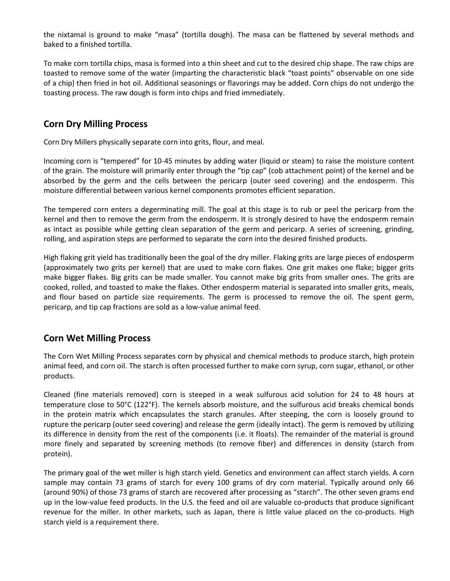the nixtamal is ground to make "masa" (tortilla dough). The masa can be flattened by several methods and baked to a finished tortilla.

To make corn tortilla chips, masa is formed into a thin sheet and cut to the desired chip shape. The raw chips are toasted to remove some of the water (imparting the characteristic black "toast points" observable on one side of a chip) then fried in hot oil. Additional seasonings or flavorings may be added. Corn chips do not undergo the toasting process. The raw dough is form into chips and fried immediately.

## <span id="page-17-0"></span>**Corn Dry Milling Process**

Corn Dry Millers physically separate corn into grits, flour, and meal.

Incoming corn is "tempered" for 10-45 minutes by adding water (liquid or steam) to raise the moisture content of the grain. The moisture will primarily enter through the "tip cap" (cob attachment point) of the kernel and be absorbed by the germ and the cells between the pericarp (outer seed covering) and the endosperm. This moisture differential between various kernel components promotes efficient separation.

The tempered corn enters a degerminating mill. The goal at this stage is to rub or peel the pericarp from the kernel and then to remove the germ from the endosperm. It is strongly desired to have the endosperm remain as intact as possible while getting clean separation of the germ and pericarp. A series of screening, grinding, rolling, and aspiration steps are performed to separate the corn into the desired finished products.

High flaking grit yield has traditionally been the goal of the dry miller. Flaking grits are large pieces of endosperm (approximately two grits per kernel) that are used to make corn flakes. One grit makes one flake; bigger grits make bigger flakes. Big grits can be made smaller. You cannot make big grits from smaller ones. The grits are cooked, rolled, and toasted to make the flakes. Other endosperm material is separated into smaller grits, meals, and flour based on particle size requirements. The germ is processed to remove the oil. The spent germ, pericarp, and tip cap fractions are sold as a low-value animal feed.

#### <span id="page-17-1"></span>**Corn Wet Milling Process**

The Corn Wet Milling Process separates corn by physical and chemical methods to produce starch, high protein animal feed, and corn oil. The starch is often processed further to make corn syrup, corn sugar, ethanol, or other products.

Cleaned (fine materials removed) corn is steeped in a weak sulfurous acid solution for 24 to 48 hours at temperature close to 50°C (122°F). The kernels absorb moisture, and the sulfurous acid breaks chemical bonds in the protein matrix which encapsulates the starch granules. After steeping, the corn is loosely ground to rupture the pericarp (outer seed covering) and release the germ (ideally intact). The germ is removed by utilizing its difference in density from the rest of the components (i.e. it floats). The remainder of the material is ground more finely and separated by screening methods (to remove fiber) and differences in density (starch from protein).

The primary goal of the wet miller is high starch yield. Genetics and environment can affect starch yields. A corn sample may contain 73 grams of starch for every 100 grams of dry corn material. Typically around only 66 (around 90%) of those 73 grams of starch are recovered after processing as "starch". The other seven grams end up in the low-value feed products. In the U.S. the feed and oil are valuable co-products that produce significant revenue for the miller. In other markets, such as Japan, there is little value placed on the co-products. High starch yield is a requirement there.